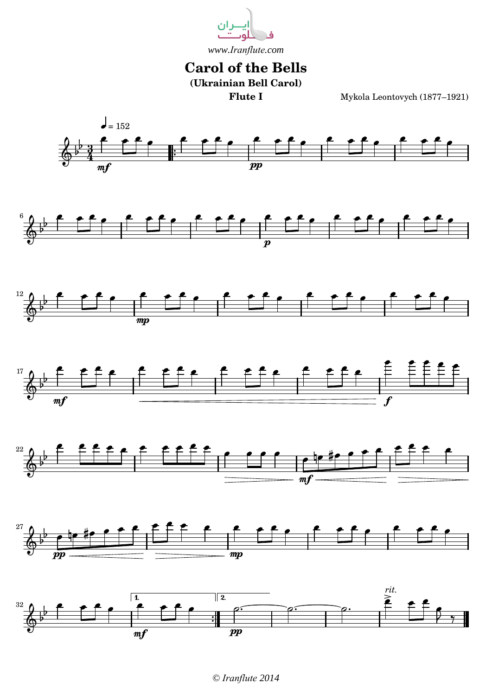

## **Carol of the Bells**

**(Ukrainian Bell Carol)**

**Flute I** Mykola Leontovych (1877–1921)



*© Iranflute 2014*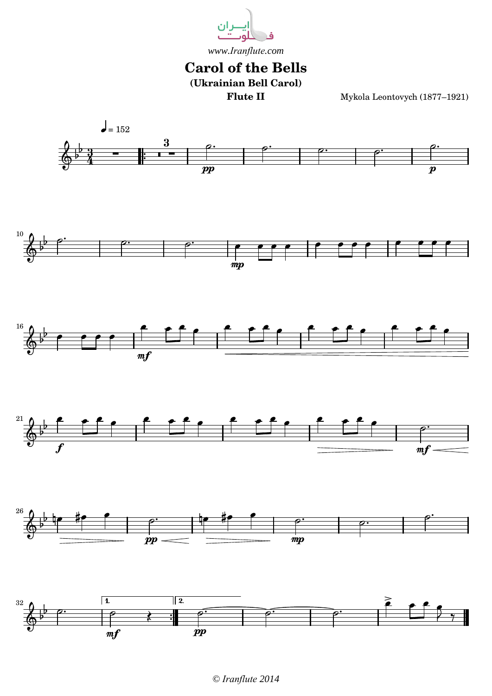

## **Carol of the Bells (Ukrainian Bell Carol)**

**Flute II** Mykola Leontovych (1877–1921)



*<sup>©</sup> Iranflute 2014*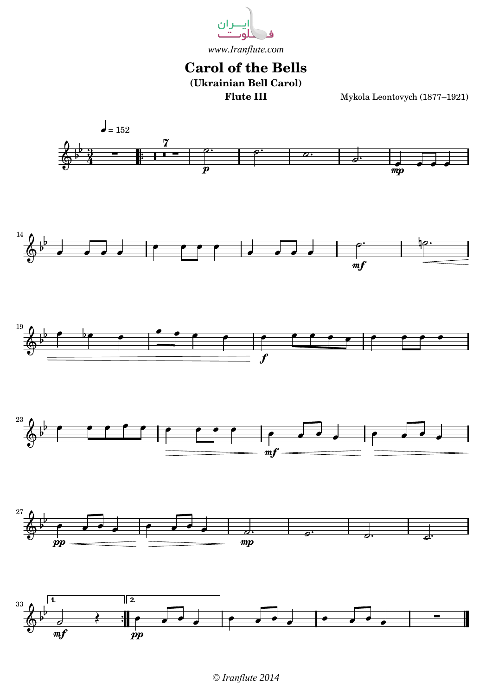

## **Carol of the Bells (Ukrainian Bell Carol)**

**Flute III** Mykola Leontovych (1877–1921)



*© Iranflute 2014*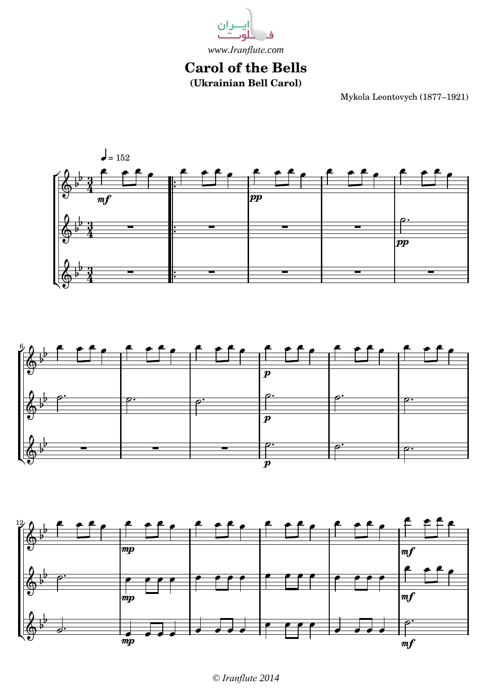

## **Carol of the Bells (Ukrainian Bell Carol)**

Mykola Leontovych (1877–1921)







*<sup>©</sup> Iranflute 2014*